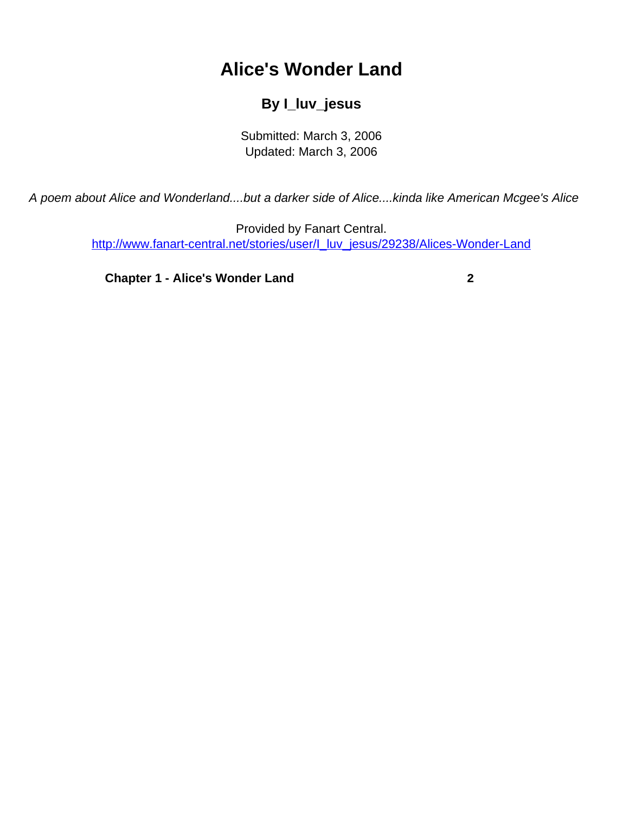## **Alice's Wonder Land**

## **By I\_luv\_jesus**

Submitted: March 3, 2006 Updated: March 3, 2006

<span id="page-0-0"></span>A poem about Alice and Wonderland....but a darker side of Alice....kinda like American Mcgee's Alice

Provided by Fanart Central. [http://www.fanart-central.net/stories/user/I\\_luv\\_jesus/29238/Alices-Wonder-Land](#page-0-0)

**[Chapter 1 - Alice's Wonder Land](#page-1-0)** [2](#page-1-0)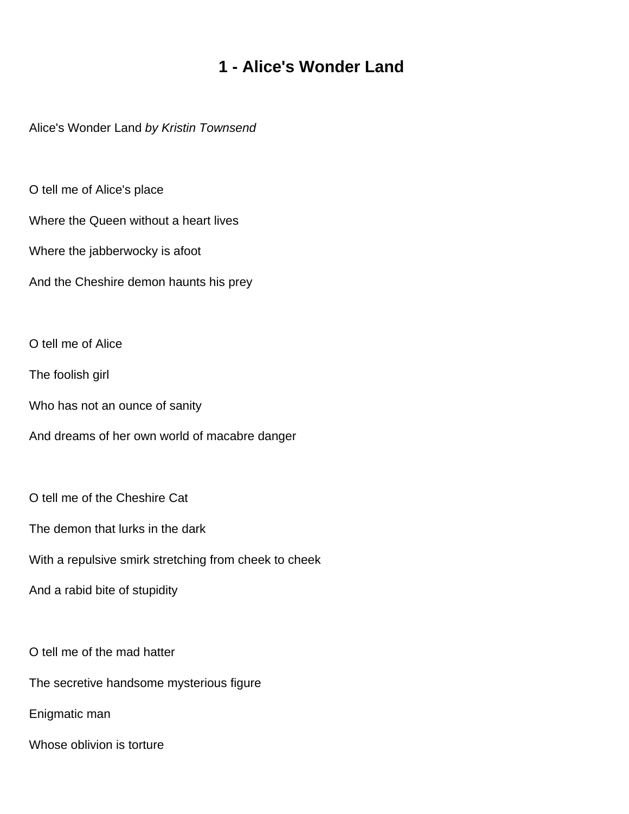## **1 - Alice's Wonder Land**

<span id="page-1-0"></span>Alice's Wonder Land by Kristin Townsend

O tell me of Alice's place

Where the Queen without a heart lives

Where the jabberwocky is afoot

And the Cheshire demon haunts his prey

O tell me of Alice

The foolish girl

Who has not an ounce of sanity

And dreams of her own world of macabre danger

O tell me of the Cheshire Cat

The demon that lurks in the dark

With a repulsive smirk stretching from cheek to cheek

And a rabid bite of stupidity

O tell me of the mad hatter

The secretive handsome mysterious figure

Enigmatic man

Whose oblivion is torture